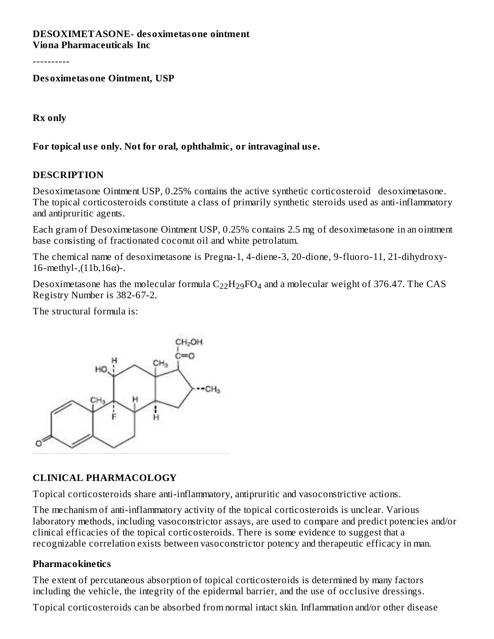#### **DESOXIMETASONE- desoximetasone ointment Viona Pharmaceuticals Inc**

----------

**Desoximetasone Ointment, USP**

**Rx only**

### **For topical us e only. Not for oral, ophthalmic, or intravaginal us e.**

#### **DESCRIPTION**

Desoximetasone Ointment USP, 0.25% contains the active synthetic corticosteroid desoximetasone. The topical corticosteroids constitute a class of primarily synthetic steroids used as anti-inflammatory and antipruritic agents.

Each gram of Desoximetasone Ointment USP, 0.25% contains 2.5 mg of desoximetasone in an ointment base consisting of fractionated coconut oil and white petrolatum.

The chemical name of desoximetasone is Pregna-1, 4-diene-3, 20-dione, 9-fluoro-11, 21-dihydroxy-16-methyl-, $(11b,16α)$ -.

Desoximetasone has the molecular formula  $\rm{C_{22}H_{29}FO_4}$  and a molecular weight of 376.47. The CAS Registry Number is 382-67-2.

The structural formula is:



### **CLINICAL PHARMACOLOGY**

Topical corticosteroids share anti-inflammatory, antipruritic and vasoconstrictive actions.

The mechanism of anti-inflammatory activity of the topical corticosteroids is unclear. Various laboratory methods, including vasoconstrictor assays, are used to compare and predict potencies and/or clinical efficacies of the topical corticosteroids. There is some evidence to suggest that a recognizable correlation exists between vasoconstrictor potency and therapeutic efficacy in man.

### **Pharmacokinetics**

The extent of percutaneous absorption of topical corticosteroids is determined by many factors including the vehicle, the integrity of the epidermal barrier, and the use of occlusive dressings.

Topical corticosteroids can be absorbed from normal intact skin. Inflammation and/or other disease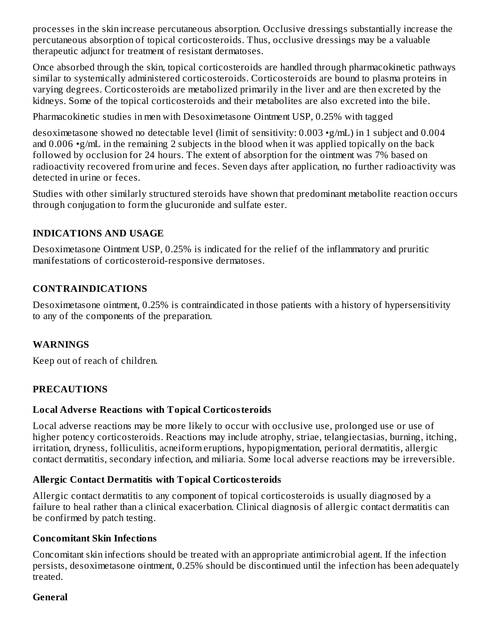processes in the skin increase percutaneous absorption. Occlusive dressings substantially increase the percutaneous absorption of topical corticosteroids. Thus, occlusive dressings may be a valuable therapeutic adjunct for treatment of resistant dermatoses.

Once absorbed through the skin, topical corticosteroids are handled through pharmacokinetic pathways similar to systemically administered corticosteroids. Corticosteroids are bound to plasma proteins in varying degrees. Corticosteroids are metabolized primarily in the liver and are then excreted by the kidneys. Some of the topical corticosteroids and their metabolites are also excreted into the bile.

Pharmacokinetic studies in men with Desoximetasone Ointment USP, 0.25% with tagged

desoximetasone showed no detectable level (limit of sensitivity: 0.003 •g/mL) in 1 subject and 0.004 and 0.006 •g/mL in the remaining 2 subjects in the blood when it was applied topically on the back followed by occlusion for 24 hours. The extent of absorption for the ointment was 7% based on radioactivity recovered from urine and feces. Seven days after application, no further radioactivity was detected in urine or feces.

Studies with other similarly structured steroids have shown that predominant metabolite reaction occurs through conjugation to form the glucuronide and sulfate ester.

### **INDICATIONS AND USAGE**

Desoximetasone Ointment USP, 0.25% is indicated for the relief of the inflammatory and pruritic manifestations of corticosteroid-responsive dermatoses.

### **CONTRAINDICATIONS**

Desoximetasone ointment, 0.25% is contraindicated in those patients with a history of hypersensitivity to any of the components of the preparation.

### **WARNINGS**

Keep out of reach of children.

### **PRECAUTIONS**

#### **Local Advers e Reactions with Topical Corticosteroids**

Local adverse reactions may be more likely to occur with occlusive use, prolonged use or use of higher potency corticosteroids. Reactions may include atrophy, striae, telangiectasias, burning, itching, irritation, dryness, folliculitis, acneiform eruptions, hypopigmentation, perioral dermatitis, allergic contact dermatitis, secondary infection, and miliaria. Some local adverse reactions may be irreversible.

### **Allergic Contact Dermatitis with Topical Corticosteroids**

Allergic contact dermatitis to any component of topical corticosteroids is usually diagnosed by a failure to heal rather than a clinical exacerbation. Clinical diagnosis of allergic contact dermatitis can be confirmed by patch testing.

#### **Concomitant Skin Infections**

Concomitant skin infections should be treated with an appropriate antimicrobial agent. If the infection persists, desoximetasone ointment, 0.25% should be discontinued until the infection has been adequately treated.

### **General**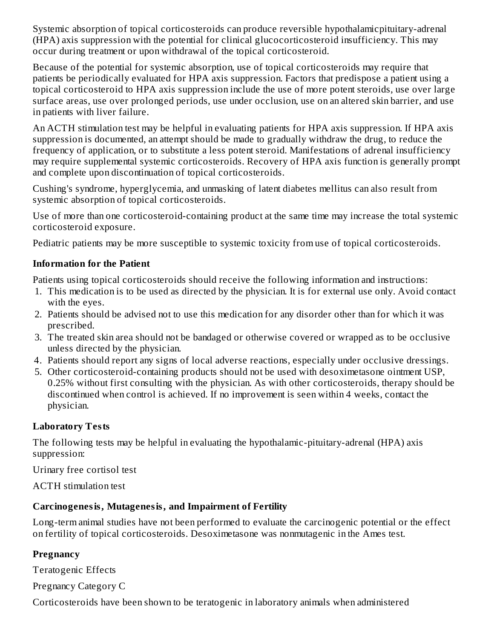Systemic absorption of topical corticosteroids can produce reversible hypothalamicpituitary-adrenal (HPA) axis suppression with the potential for clinical glucocorticosteroid insufficiency. This may occur during treatment or upon withdrawal of the topical corticosteroid.

Because of the potential for systemic absorption, use of topical corticosteroids may require that patients be periodically evaluated for HPA axis suppression. Factors that predispose a patient using a topical corticosteroid to HPA axis suppression include the use of more potent steroids, use over large surface areas, use over prolonged periods, use under occlusion, use on an altered skin barrier, and use in patients with liver failure.

An ACTH stimulation test may be helpful in evaluating patients for HPA axis suppression. If HPA axis suppression is documented, an attempt should be made to gradually withdraw the drug, to reduce the frequency of application, or to substitute a less potent steroid. Manifestations of adrenal insufficiency may require supplemental systemic corticosteroids. Recovery of HPA axis function is generally prompt and complete upon discontinuation of topical corticosteroids.

Cushing's syndrome, hyperglycemia, and unmasking of latent diabetes mellitus can also result from systemic absorption of topical corticosteroids.

Use of more than one corticosteroid-containing product at the same time may increase the total systemic corticosteroid exposure.

Pediatric patients may be more susceptible to systemic toxicity from use of topical corticosteroids.

## **Information for the Patient**

Patients using topical corticosteroids should receive the following information and instructions:

- 1. This medication is to be used as directed by the physician. It is for external use only. Avoid contact with the eyes.
- 2. Patients should be advised not to use this medication for any disorder other than for which it was prescribed.
- 3. The treated skin area should not be bandaged or otherwise covered or wrapped as to be occlusive unless directed by the physician.
- 4. Patients should report any signs of local adverse reactions, especially under occlusive dressings.
- 5. Other corticosteroid-containing products should not be used with desoximetasone ointment USP, 0.25% without first consulting with the physician. As with other corticosteroids, therapy should be discontinued when control is achieved. If no improvement is seen within 4 weeks, contact the physician.

## **Laboratory Tests**

The following tests may be helpful in evaluating the hypothalamic-pituitary-adrenal (HPA) axis suppression:

Urinary free cortisol test

ACTH stimulation test

## **Carcinogenesis, Mutagenesis, and Impairment of Fertility**

Long-term animal studies have not been performed to evaluate the carcinogenic potential or the effect on fertility of topical corticosteroids. Desoximetasone was nonmutagenic in the Ames test.

## **Pregnancy**

Teratogenic Effects

Pregnancy Category C

Corticosteroids have been shown to be teratogenic in laboratory animals when administered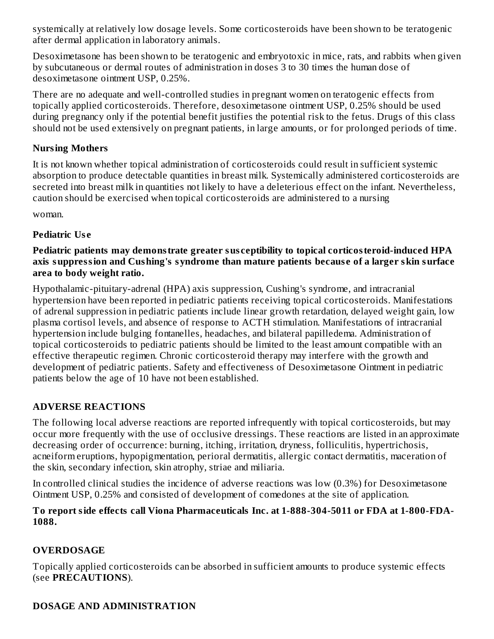systemically at relatively low dosage levels. Some corticosteroids have been shown to be teratogenic after dermal application in laboratory animals.

Desoximetasone has been shown to be teratogenic and embryotoxic in mice, rats, and rabbits when given by subcutaneous or dermal routes of administration in doses 3 to 30 times the human dose of desoximetasone ointment USP, 0.25%.

There are no adequate and well-controlled studies in pregnant women on teratogenic effects from topically applied corticosteroids. Therefore, desoximetasone ointment USP, 0.25% should be used during pregnancy only if the potential benefit justifies the potential risk to the fetus. Drugs of this class should not be used extensively on pregnant patients, in large amounts, or for prolonged periods of time.

## **Nursing Mothers**

It is not known whether topical administration of corticosteroids could result in sufficient systemic absorption to produce detectable quantities in breast milk. Systemically administered corticosteroids are secreted into breast milk in quantities not likely to have a deleterious effect on the infant. Nevertheless, caution should be exercised when topical corticosteroids are administered to a nursing

woman.

## **Pediatric Us e**

### **Pediatric patients may demonstrate greater sus ceptibility to topical corticosteroid-induced HPA axis suppression and Cushing's syndrome than mature patients becaus e of a larger skin surface area to body weight ratio.**

Hypothalamic-pituitary-adrenal (HPA) axis suppression, Cushing's syndrome, and intracranial hypertension have been reported in pediatric patients receiving topical corticosteroids. Manifestations of adrenal suppression in pediatric patients include linear growth retardation, delayed weight gain, low plasma cortisol levels, and absence of response to ACTH stimulation. Manifestations of intracranial hypertension include bulging fontanelles, headaches, and bilateral papilledema. Administration of topical corticosteroids to pediatric patients should be limited to the least amount compatible with an effective therapeutic regimen. Chronic corticosteroid therapy may interfere with the growth and development of pediatric patients. Safety and effectiveness of Desoximetasone Ointment in pediatric patients below the age of 10 have not been established.

## **ADVERSE REACTIONS**

The following local adverse reactions are reported infrequently with topical corticosteroids, but may occur more frequently with the use of occlusive dressings. These reactions are listed in an approximate decreasing order of occurrence: burning, itching, irritation, dryness, folliculitis, hypertrichosis, acneiform eruptions, hypopigmentation, perioral dermatitis, allergic contact dermatitis, maceration of the skin, secondary infection, skin atrophy, striae and miliaria.

In controlled clinical studies the incidence of adverse reactions was low (0.3%) for Desoximetasone Ointment USP, 0.25% and consisted of development of comedones at the site of application.

### **To report side effects call Viona Pharmaceuticals Inc. at 1-888-304-5011 or FDA at 1-800-FDA-1088.**

## **OVERDOSAGE**

Topically applied corticosteroids can be absorbed in sufficient amounts to produce systemic effects (see **PRECAUTIONS**).

## **DOSAGE AND ADMINISTRATION**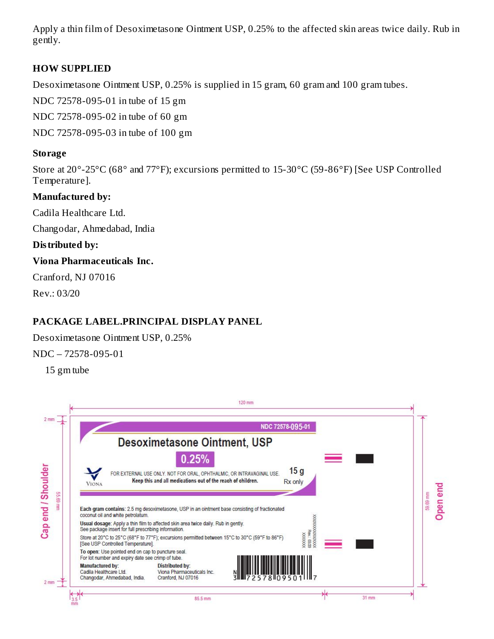Apply a thin film of Desoximetasone Ointment USP, 0.25% to the affected skin areas twice daily. Rub in gently.

### **HOW SUPPLIED**

Desoximetasone Ointment USP, 0.25% is supplied in 15 gram, 60 gram and 100 gram tubes.

NDC 72578-095-01 in tube of 15 gm

NDC 72578-095-02 in tube of 60 gm

NDC 72578-095-03 in tube of 100 gm

### **Storage**

Store at 20°-25°C (68° and 77°F); excursions permitted to 15-30°C (59-86°F) [See USP Controlled Temperature].

## **Manufactured by:**

Cadila Healthcare Ltd.

Changodar, Ahmedabad, India

**Distributed by:**

### **Viona Pharmaceuticals Inc.**

Cranford, NJ 07016

Rev.: 03/20

## **PACKAGE LABEL.PRINCIPAL DISPLAY PANEL**

Desoximetasone Ointment USP, 0.25%

NDC – 72578-095-01

15 gm tube

|                                                                                                                                             |                                                                                                                                               | NDC 72578-095-01                   |  |
|---------------------------------------------------------------------------------------------------------------------------------------------|-----------------------------------------------------------------------------------------------------------------------------------------------|------------------------------------|--|
|                                                                                                                                             | <b>Desoximetasone Ointment, USP</b>                                                                                                           |                                    |  |
| <b>VIONA</b>                                                                                                                                | 0.25%<br>FOR EXTERNAL USE ONLY. NOT FOR ORAL, OPHTHALMIC, OR INTRAVAGINAL USE.<br>Keep this and all medications out of the reach of children. | 15 <sub>g</sub><br>Rx only         |  |
| coconut oil and white petrolatum.                                                                                                           | Each gram contains: 2.5 mg desoximetasone, USP in an ointment base consisting of fractionated                                                 |                                    |  |
| See package insert for full prescribing information.                                                                                        | Usual dosage: Apply a thin film to affected skin area twice daily. Rub in gently.                                                             |                                    |  |
|                                                                                                                                             | Store at 20°C to 25°C (68°F to 77°F); excursions permitted between 15°C to 30°C (59°F to 86°F)                                                | XXXXXXXXX<br>Rev: 03/20<br>0000000 |  |
|                                                                                                                                             |                                                                                                                                               |                                    |  |
| [See USP Controlled Temperature].<br>To open: Use pointed end on cap to puncture seal.<br>For lot number and expiry date see crimp of tube. |                                                                                                                                               |                                    |  |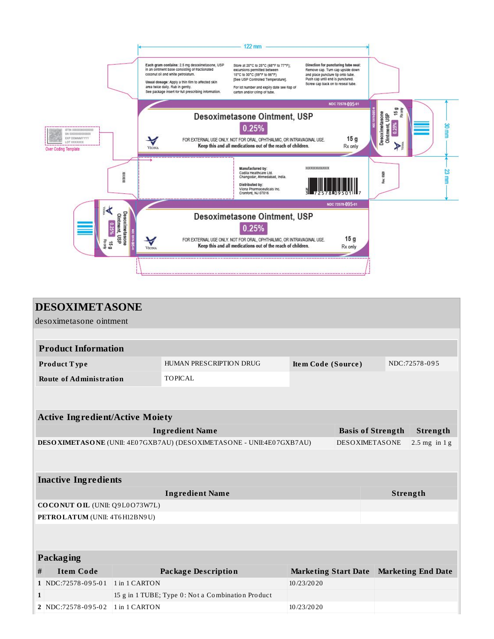

|                                        | <b>DESOXIMETASONE</b>                                                                             |               |                                                                |                             |  |                          |                           |
|----------------------------------------|---------------------------------------------------------------------------------------------------|---------------|----------------------------------------------------------------|-----------------------------|--|--------------------------|---------------------------|
| desoximetasone ointment                |                                                                                                   |               |                                                                |                             |  |                          |                           |
|                                        |                                                                                                   |               |                                                                |                             |  |                          |                           |
| <b>Product Information</b>             |                                                                                                   |               |                                                                |                             |  |                          |                           |
|                                        | Product Type                                                                                      |               | HUMAN PRESCRIPTION DRUG<br>Item Code (Source)<br>NDC:72578-095 |                             |  |                          |                           |
|                                        | <b>Route of Administration</b>                                                                    |               | <b>TOPICAL</b>                                                 |                             |  |                          |                           |
|                                        |                                                                                                   |               |                                                                |                             |  |                          |                           |
|                                        |                                                                                                   |               |                                                                |                             |  |                          |                           |
| <b>Active Ingredient/Active Moiety</b> |                                                                                                   |               |                                                                |                             |  |                          |                           |
|                                        | <b>Ingredient Name</b>                                                                            |               |                                                                |                             |  | <b>Basis of Strength</b> | Strength                  |
|                                        | DESO XIMETASO NE (UNII: 4E07GXB7AU) (DESO XIMETASO NE - UNII:4E07GXB7AU)<br><b>DESOXIMETASONE</b> |               |                                                                |                             |  |                          | $2.5$ mg in 1 g           |
|                                        |                                                                                                   |               |                                                                |                             |  |                          |                           |
|                                        |                                                                                                   |               |                                                                |                             |  |                          |                           |
| <b>Inactive Ingredients</b>            |                                                                                                   |               |                                                                |                             |  |                          |                           |
|                                        | <b>Ingredient Name</b><br>Strength                                                                |               |                                                                |                             |  |                          |                           |
| COCONUT OIL (UNII: Q9L0073W7L)         |                                                                                                   |               |                                                                |                             |  |                          |                           |
|                                        | PETROLATUM (UNII: 4T6H12BN9U)                                                                     |               |                                                                |                             |  |                          |                           |
|                                        |                                                                                                   |               |                                                                |                             |  |                          |                           |
|                                        |                                                                                                   |               |                                                                |                             |  |                          |                           |
| Packaging                              |                                                                                                   |               |                                                                |                             |  |                          |                           |
| #                                      | <b>Item Code</b>                                                                                  |               | <b>Package Description</b>                                     | <b>Marketing Start Date</b> |  |                          | <b>Marketing End Date</b> |
|                                        | 1 NDC:72578-095-01                                                                                | 1 in 1 CARTON |                                                                | 10/23/2020                  |  |                          |                           |
| 1                                      |                                                                                                   |               | 15 g in 1 TUBE; Type 0: Not a Combination Product              |                             |  |                          |                           |
|                                        |                                                                                                   |               |                                                                |                             |  |                          |                           |